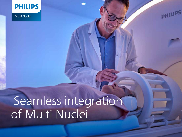

Multi Nuclei

# Seamless integration of Multi Nuclei

PHILIPS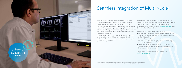

Art TR

Spectr **Readolf** 

tocal to SED Max E1+

dividi Sound F Decouple

## Seamless integration of Multi Nuclei

Multi-nuclei (MN) imaging and spectroscopy is a key area of leading-edge clinical investigation. However, it typically involves a different software version, cumbersome user interface, and a dedicated coil. And scan times tend to be quite long, which can disrupt day-to-day imaging throughput. To advance clinical insights in this promising area, Philips has made multi-nuclei imaging and spectroscopy become part of your daily clinical workflow.

Designed for out-of-the-box implementation, our Multi Nuclei solution delivers the confidence to explore new imaging pathways and the speed to integrate multi-nuclei studies into your day-to-day workflow.

- Besides regular proton (1H) imaging, you can:<br>• Begin to evaluate sodium (23Na) presence throughout the body with sub-millisecond TE acquisition facilitating imaging of short T2-signals
- Measure the dynamics of muscle metabolism using phosphorus (31P) spectroscopy by visualizing the changes in PCr / Pi-ratio over time
- Investigate metabolic processes by using carbon (13C)
- Image fluorine (19F)\* exogenous labeled contrast agents Create xenon (129Xe)\* images
- 

**Seamless** integrated workflow, **for 6 different nuclei**

Adding Multi Nuclei to your MR 7700 opens a window of research into other nuclei, in search of metabolic and functional information. It allows you to perform clinical imaging, spectroscopy and research studies of **six different nuclei** (1H, 31P, 13C, 23Na, 19F and 129Xe).

Simply put, our Multi Nuclei solution can be used **across all anatomies.** 

\* Caution: Investigational device for imaging with fluorine (19F) and xenon (129Xe). Limited by federal (or United States) law to investigational use. Clinical imaging with these nuclei requires usage of a cleared drug. No FDA-cleared drugs are currently available for these nuclei.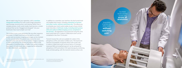We've made it easy for your operation, with a **seamless integrated workflow** for multi-nuclei image acquisition, spectroscopy, reconstruction, and viewing. Rather than a complex process, multi-nuclei studies have become a simple protocol that can be "dragged and dropped" into your ExamCard. How much simpler can it be?

The nucleus is just a scan parameter like any other sequence parameter. A single ExamCard can be used to run both proton and non-proton imaging and images can be checked on the console before the patient even leaves the room. Reconstruction and viewing of non-proton images or spectra, as well as the process for sending the data to PACS is fully integrated, so workflow does not differ from proton imaging. Easy export of multi-nuclei data is supported for enhanced DICOM, SPAR/SDAT, and XML-REC.

In addition to a seamless user interface, the dual tuned head coil enables brain exams, including **acquisition of proton and other nuclei, without switching coils.** This allows you to schedule your multi-nuclei studies as part of your clinical exam time slots. A **full brain study, including both proton (1H) and sodium (23Na) imaging can be completed in 30 minutes <sup>1</sup>,** all organized in one ExamCard using the same dual tuned head coil. A sodium (23Na) brain exam can be completed in less than 15 minutes 2 .

Transmit-receive flex coils are available for carbon (13C), phosphorus (31P), and sodium (23Na) scans. The ExamCard interface immediately recognizes these multi-nuclei coils. A sodium (23Na) knee exam can be as fast as 15 minutes 3. Improved SNR and simplified spectra <sup>4</sup> can be achieved for phosphorus (31P) and carbon (13C) spectroscopy by combining body coil decoupling, with the transmit-receive surface coils.

Acquisition of proton and other nuclei, **without switching coils 5**

Our Multi Nuclei solution can be used **across all anatomies** 

Philips MR 7700

1 Measured from start of first scan to end of last reconstruction. Includes 1H (T2w TSE, T2w FLAIR, SSh DWI, and 3D T1w FFE pre $\&$ post) + 23Na (with a voxel size  $\leq$  than 4mm isotropic). 2 For 4 mm isotropic voxels.

3 For 3 mm isotropic voxels, slice coverage > 95 mm. 4 Compared to non-decoupled spectroscopy results. 5 For brain exams with a dual tuned head coil.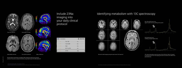### Include 23Na imaging into your daily clinical protocol

Routine Brain examination including 23Na imaging as well as pre and post contrast T1w scans in under 30-minutes using a dual-tuned 1H/23Na head coil1 From cases in the stain examination including 23Na imaging as well as pre and post<br>contrast Tw scans in under 30-minutes using a dual-tuned 1H/23Na head coil"<br>and the 2 mm instructive versults in other cases may vary.<br>The

### Identifying metabolism with 13C spectroscopy

#### DWI b1000, 0:39 min

T1w 3D FFE, 4:40 min 23Na, 14:09 min 200 min 200 min 200 min 200 min 200 min 200 min 200 min 200 min 200 min 200 min 200 min 200 min 200 min 200 min 200 min 200 min 200 min 200 min 200 min 200 min 200 min 200 min 200 min 2 is coming from the fat. Decoupling was done to enhance the SNR of the peak detection.







| <b>Brain MultiNuclei</b><br>E |                                 | C: 00:27:32 |
|-------------------------------|---------------------------------|-------------|
|                               | T <sub>2w</sub> T <sub>SE</sub> | tra         |
| $=$                           | <b>T2w FLAIR</b>                | tra         |
| ═                             | <b>DWI</b>                      | tra         |
|                               | 3D T1w FFE                      | tra         |
|                               | 23 Na                           | sag         |



23Na, 14:09 min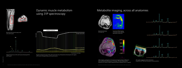



### Dynamic muscle metabolism using 31P spectroscopy





### Metabolite imaging, across all anatomies



Planning of the spectroscopy voxel in the calf-muslce



Single 31P spectrum of the calf-muscle showing the PCr and PI peaks



23Na imaging, overlayed on 1H anatomical imaging Sodium (23Na) knee exam can be performed as fast as 15 minutes. The sub-millisecond TE acquisition for sodium (23Na) imaging facilitates imaging of short T2-signals.  $\frac{23 \text{Na imaging, overlaged on 1H anatomical imaging sodium (23 \text{Na}) knee}{\text{Riemannicational imaging of the 1H}} \cdot \frac{31 \text{P, cardiac triggered, 1D CSI of the heart}}{\text{P-H40 with the patient in prone position}} \cdot \frac{31 \text{P, cardiac triggered, 1D CSI of the heart}}{\text{D-Siational T}} \cdot \frac{31 \text{P, cardiac triggered, 1D CSI of the heart}}{\text{D-Siational T}} \cdot \frac{31 \text{P, cardiac triggered, 1D CSI of the heart}}{\text{D-Siational T}} \cdot \frac{31 \text{P, cardiac triggered, 1D CSI of the heart}}{\text{D-Siational T}} \cdot \$ 

Dynamic 31P spectroscopy of the calf-muscle (5sec/acq, 50 dynamics) showing how the signals of PCr and PI change during a calf-muscle exercise

Anatomical imaging (1H body coil)



Functional 23Na imaging of the knee with a laterally placed flex coil Na-140



31P, cardiac triggered, 1D CSI of the heart Using flex coil P-140 with the patient in prone position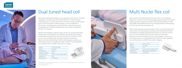



## Dual tuned head coil and a series and Multi Nuclei flex coil

The dual tuned head coil allows you to perform brain exams, including acquisition of proton and other nuclei (31P, 13C, 23 Na), without switching coils, in routine scan times. A full brain study, including both proton (1H) and sodium (23Na) imaging can be completed in 30 minutes 1 , all organized in one ExamCard, using the same dual tuned head coil. A Sodium (23Na) brain scan can be completed in less than 15 minutes 2 .

Multi-nuclei imaging or spectroscopy can be run and reconstructed directly from the standard user interface. The ExamCard interface immediately recognizes the dual tuned head coil. And the nucleus is just a scan parameter like any other sequence parameter. Reconstruction and viewing of multi-nuclei images or spectra, as well as the process for sending the data to PACS is fully integrated, so workflow does not differ from proton imaging.

| <b>Nucleus</b>      | 1H, 31P, 13C, 23Na               |
|---------------------|----------------------------------|
| Systems             | 3.0T dSync                       |
| Inner diameter      | 26,5 cm                          |
| Length of resonator | $24 \text{ cm}$                  |
| Coil solution type  | Transmit-receive, single channel |
| Applications        | <b>Brain</b>                     |
| Coil connection     | T/R interface                    |



1 Measured from start of first scan to end of last reconstruction. Includes 1H (T2w TSE, T2w FLAIR, SSh DWI, and 3D T1w FFE pre&post) +23Na (with a voxel size  $\epsilon$  = than 4mm isotropic)

The transmit-receive Multi Nuclei flex coil, with a 14 cm diameter, allows you to perform multi-nuclei imaging, spectroscopy and research studies, across all anatomies. Benefit from improved signal-to-noise ratio (SNR) and simplified spectra, by combining body coil decoupling with this transmit-receive surface coil.

Multi-nuclei imaging or spectroscopy can be run and reconstructed directly from the standard user interface. The ExamCard interface immediately recognizes the Multi Nuclei flex coil. And the nucleus is just a scan parameter like any other sequence parameter. Reconstruction and viewing of multi-nuclei images or spectra, as well as the process for sending the data to PACS is fully integrated, so workflow does not differ from proton imaging.

| <b>Nucleus</b>     | 31P, 13C, 23Na                   |
|--------------------|----------------------------------|
| Systems            | 3.0T dSync                       |
| Coverage           | 14 cm                            |
| Coil solution type | Transmit-receive, single channel |
| Applications       | Multi purpose, all anatomies     |
| Coil connection    | T/R interface                    |
|                    |                                  |